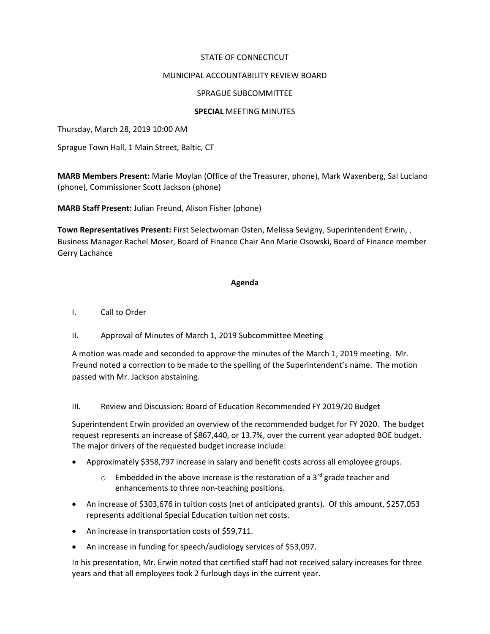## STATE OF CONNECTICUT

## MUNICIPAL ACCOUNTABILITY REVIEW BOARD

### SPRAGUE SUBCOMMITTEE

#### **SPECIAL** MEETING MINUTES

Thursday, March 28, 2019 10:00 AM

Sprague Town Hall, 1 Main Street, Baltic, CT

**MARB Members Present:** Marie Moylan (Office of the Treasurer, phone), Mark Waxenberg, Sal Luciano (phone), Commissioner Scott Jackson (phone)

**MARB Staff Present:** Julian Freund, Alison Fisher (phone)

**Town Representatives Present:** First Selectwoman Osten, Melissa Sevigny, Superintendent Erwin, , Business Manager Rachel Moser, Board of Finance Chair Ann Marie Osowski, Board of Finance member Gerry Lachance

#### **Agenda**

- I. Call to Order
- II. Approval of Minutes of March 1, 2019 Subcommittee Meeting

A motion was made and seconded to approve the minutes of the March 1, 2019 meeting. Mr. Freund noted a correction to be made to the spelling of the Superintendent's name. The motion passed with Mr. Jackson abstaining.

III. Review and Discussion: Board of Education Recommended FY 2019/20 Budget

Superintendent Erwin provided an overview of the recommended budget for FY 2020. The budget request represents an increase of \$867,440, or 13.7%, over the current year adopted BOE budget. The major drivers of the requested budget increase include:

- Approximately \$358,797 increase in salary and benefit costs across all employee groups.
	- $\circ$  Embedded in the above increase is the restoration of a 3<sup>rd</sup> grade teacher and enhancements to three non-teaching positions.
- An increase of \$303,676 in tuition costs (net of anticipated grants). Of this amount, \$257,053 represents additional Special Education tuition net costs.
- An increase in transportation costs of \$59,711.
- An increase in funding for speech/audiology services of \$53,097.

In his presentation, Mr. Erwin noted that certified staff had not received salary increases for three years and that all employees took 2 furlough days in the current year.